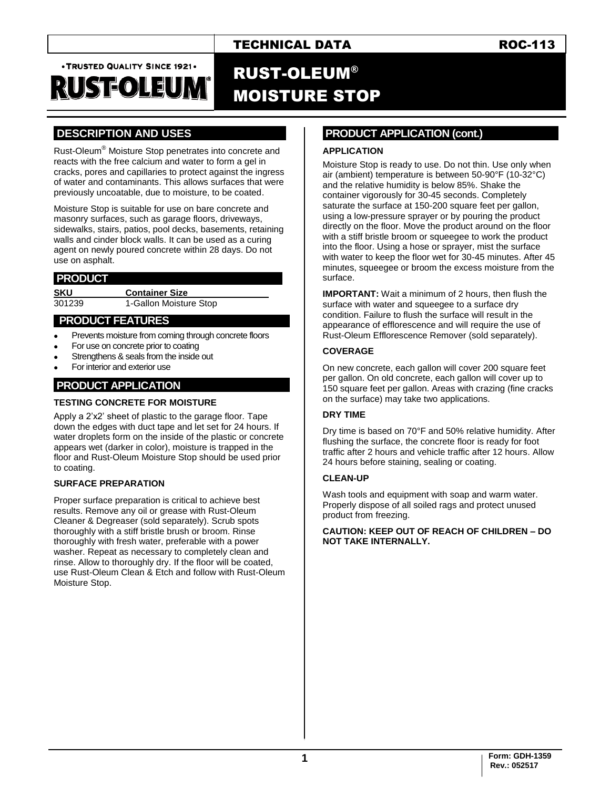### TECHNICAL DATA ROC-113

. TRUSTED QUALITY SINCE 1921.

# RUSEOLEU

## RUST-OLEUM® MOISTURE STOP

### **.DESCRIPTION AND USES .**

Rust-Oleum® Moisture Stop penetrates into concrete and reacts with the free calcium and water to form a gel in cracks, pores and capillaries to protect against the ingress of water and contaminants. This allows surfaces that were previously uncoatable, due to moisture, to be coated.

Moisture Stop is suitable for use on bare concrete and masonry surfaces, such as garage floors, driveways, sidewalks, stairs, patios, pool decks, basements, retaining walls and cinder block walls. It can be used as a curing agent on newly poured concrete within 28 days. Do not use on asphalt.

#### **.PRODUCT .**

**SKU Container Size** 301239 1-Gallon Moisture Stop

#### **. PRODUCT FEATURES .**

- Prevents moisture from coming through concrete floors
- For use on concrete prior to coating
- Strengthens & seals from the inside out
- For interior and exterior use

#### **PRODUCT APPLICATION .**

#### **TESTING CONCRETE FOR MOISTURE**

Apply a 2'x2' sheet of plastic to the garage floor. Tape down the edges with duct tape and let set for 24 hours. If water droplets form on the inside of the plastic or concrete appears wet (darker in color), moisture is trapped in the floor and Rust-Oleum Moisture Stop should be used prior to coating.

#### **SURFACE PREPARATION**

Proper surface preparation is critical to achieve best results. Remove any oil or grease with Rust-Oleum Cleaner & Degreaser (sold separately). Scrub spots thoroughly with a stiff bristle brush or broom. Rinse thoroughly with fresh water, preferable with a power washer. Repeat as necessary to completely clean and rinse. Allow to thoroughly dry. If the floor will be coated, use Rust-Oleum Clean & Etch and follow with Rust-Oleum Moisture Stop.

#### **.PRODUCT APPLICATION (cont.) .**

#### **APPLICATION**

Moisture Stop is ready to use. Do not thin. Use only when air (ambient) temperature is between 50-90°F (10-32°C) and the relative humidity is below 85%. Shake the container vigorously for 30-45 seconds. Completely saturate the surface at 150-200 square feet per gallon. using a low-pressure sprayer or by pouring the product directly on the floor. Move the product around on the floor with a stiff bristle broom or squeegee to work the product into the floor. Using a hose or sprayer, mist the surface with water to keep the floor wet for 30-45 minutes. After 45 minutes, squeegee or broom the excess moisture from the surface.

**IMPORTANT:** Wait a minimum of 2 hours, then flush the surface with water and squeegee to a surface dry condition. Failure to flush the surface will result in the appearance of efflorescence and will require the use of Rust-Oleum Efflorescence Remover (sold separately).

#### **COVERAGE**

On new concrete, each gallon will cover 200 square feet per gallon. On old concrete, each gallon will cover up to 150 square feet per gallon. Areas with crazing (fine cracks on the surface) may take two applications.

#### **DRY TIME**

Dry time is based on 70°F and 50% relative humidity. After flushing the surface, the concrete floor is ready for foot traffic after 2 hours and vehicle traffic after 12 hours. Allow 24 hours before staining, sealing or coating.

#### **CLEAN-UP**

Wash tools and equipment with soap and warm water. Properly dispose of all soiled rags and protect unused product from freezing.

**CAUTION: KEEP OUT OF REACH OF CHILDREN – DO NOT TAKE INTERNALLY.**